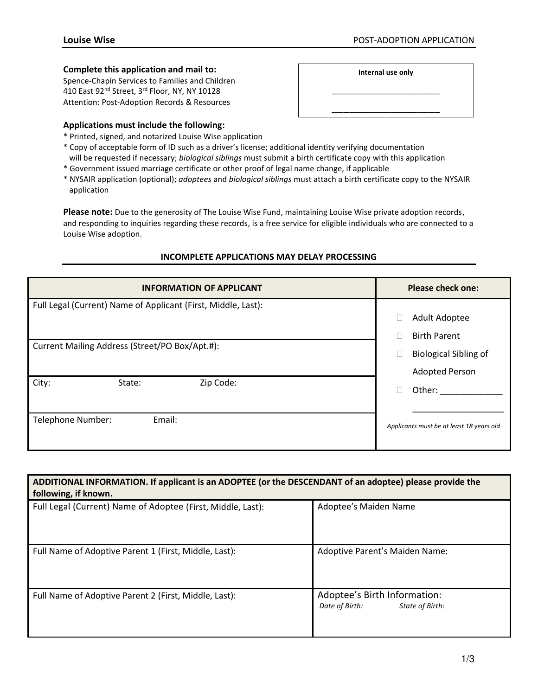**Internal use only** 

**\_\_\_\_\_\_\_\_\_\_\_\_\_\_\_\_\_\_\_\_\_\_\_\_\_\_\_\_\_\_\_\_\_\_\_\_\_** 

**\_\_\_\_\_\_\_\_\_\_\_\_\_\_\_\_\_\_\_\_\_\_\_\_\_\_\_\_\_\_\_\_\_\_\_\_\_** 

## **Complete this application and mail to:**

Spence-Chapin Services to Families and Children 410 East 92nd Street, 3rd Floor, NY, NY 10128 Attention: Post-Adoption Records & Resources

| Applications must include the following: |  |  |
|------------------------------------------|--|--|
|------------------------------------------|--|--|

- \* Printed, signed, and notarized Louise Wise application
- \* Copy of acceptable form of ID such as a driver's license; additional identity verifying documentation will be requested if necessary; *biological siblings* must submit a birth certificate copy with this application
- \* Government issued marriage certificate or other proof of legal name change, if applicable
- \* NYSAIR application (optional); *adoptees* and *biological siblings* must attach a birth certificate copy to the NYSAIR application

**Please note:** Due to the generosity of The Louise Wise Fund, maintaining Louise Wise private adoption records, and responding to inquiries regarding these records, is a free service for eligible individuals who are connected to a Louise Wise adoption.

## **INCOMPLETE APPLICATIONS MAY DELAY PROCESSING**

| <b>INFORMATION OF APPLICANT</b>                               | <b>Please check one:</b>                 |
|---------------------------------------------------------------|------------------------------------------|
| Full Legal (Current) Name of Applicant (First, Middle, Last): |                                          |
|                                                               | Adult Adoptee                            |
|                                                               | <b>Birth Parent</b>                      |
| Current Mailing Address (Street/PO Box/Apt.#):                | <b>Biological Sibling of</b>             |
|                                                               | <b>Adopted Person</b>                    |
| Zip Code:<br>City:<br>State:                                  | Other:                                   |
| Telephone Number:<br>Email:                                   | Applicants must be at least 18 years old |

| ADDITIONAL INFORMATION. If applicant is an ADOPTEE (or the DESCENDANT of an adoptee) please provide the<br>following, if known. |                                                                   |  |
|---------------------------------------------------------------------------------------------------------------------------------|-------------------------------------------------------------------|--|
| Full Legal (Current) Name of Adoptee (First, Middle, Last):                                                                     | Adoptee's Maiden Name                                             |  |
| Full Name of Adoptive Parent 1 (First, Middle, Last):                                                                           | Adoptive Parent's Maiden Name:                                    |  |
| Full Name of Adoptive Parent 2 (First, Middle, Last):                                                                           | Adoptee's Birth Information:<br>Date of Birth:<br>State of Birth: |  |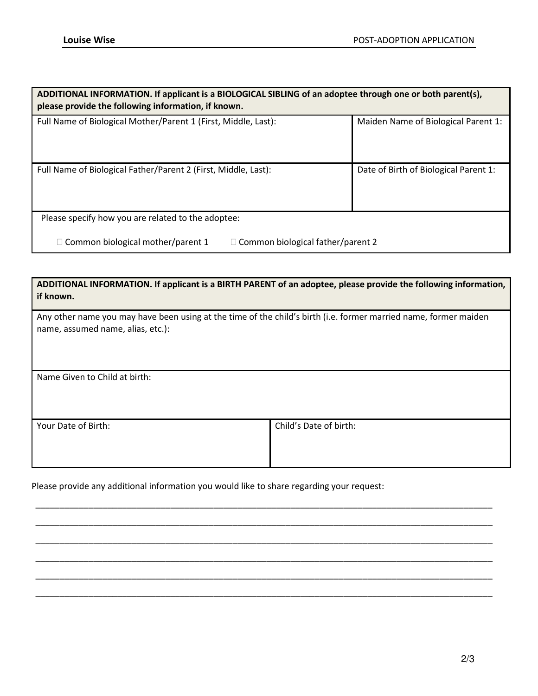| Full Name of Biological Mother/Parent 1 (First, Middle, Last): | Maiden Name of Biological Parent 1:   |
|----------------------------------------------------------------|---------------------------------------|
| Full Name of Biological Father/Parent 2 (First, Middle, Last): | Date of Birth of Biological Parent 1: |
| Please specify how you are related to the adoptee:             |                                       |

| ADDITIONAL INFORMATION. If applicant is a BIRTH PARENT of an adoptee, please provide the following information,<br>if known.                          |                        |  |
|-------------------------------------------------------------------------------------------------------------------------------------------------------|------------------------|--|
| Any other name you may have been using at the time of the child's birth (i.e. former married name, former maiden<br>name, assumed name, alias, etc.): |                        |  |
| Name Given to Child at birth:                                                                                                                         |                        |  |
| Your Date of Birth:                                                                                                                                   | Child's Date of birth: |  |

\_\_\_\_\_\_\_\_\_\_\_\_\_\_\_\_\_\_\_\_\_\_\_\_\_\_\_\_\_\_\_\_\_\_\_\_\_\_\_\_\_\_\_\_\_\_\_\_\_\_\_\_\_\_\_\_\_\_\_\_\_\_\_\_\_\_\_\_\_\_\_\_\_\_\_\_\_\_\_\_\_\_\_\_\_\_\_\_\_\_\_\_\_\_\_

\_\_\_\_\_\_\_\_\_\_\_\_\_\_\_\_\_\_\_\_\_\_\_\_\_\_\_\_\_\_\_\_\_\_\_\_\_\_\_\_\_\_\_\_\_\_\_\_\_\_\_\_\_\_\_\_\_\_\_\_\_\_\_\_\_\_\_\_\_\_\_\_\_\_\_\_\_\_\_\_\_\_\_\_\_\_\_\_\_\_\_\_\_\_\_

\_\_\_\_\_\_\_\_\_\_\_\_\_\_\_\_\_\_\_\_\_\_\_\_\_\_\_\_\_\_\_\_\_\_\_\_\_\_\_\_\_\_\_\_\_\_\_\_\_\_\_\_\_\_\_\_\_\_\_\_\_\_\_\_\_\_\_\_\_\_\_\_\_\_\_\_\_\_\_\_\_\_\_\_\_\_\_\_\_\_\_\_\_\_\_

\_\_\_\_\_\_\_\_\_\_\_\_\_\_\_\_\_\_\_\_\_\_\_\_\_\_\_\_\_\_\_\_\_\_\_\_\_\_\_\_\_\_\_\_\_\_\_\_\_\_\_\_\_\_\_\_\_\_\_\_\_\_\_\_\_\_\_\_\_\_\_\_\_\_\_\_\_\_\_\_\_\_\_\_\_\_\_\_\_\_\_\_\_\_\_

\_\_\_\_\_\_\_\_\_\_\_\_\_\_\_\_\_\_\_\_\_\_\_\_\_\_\_\_\_\_\_\_\_\_\_\_\_\_\_\_\_\_\_\_\_\_\_\_\_\_\_\_\_\_\_\_\_\_\_\_\_\_\_\_\_\_\_\_\_\_\_\_\_\_\_\_\_\_\_\_\_\_\_\_\_\_\_\_\_\_\_\_\_\_\_

\_\_\_\_\_\_\_\_\_\_\_\_\_\_\_\_\_\_\_\_\_\_\_\_\_\_\_\_\_\_\_\_\_\_\_\_\_\_\_\_\_\_\_\_\_\_\_\_\_\_\_\_\_\_\_\_\_\_\_\_\_\_\_\_\_\_\_\_\_\_\_\_\_\_\_\_\_\_\_\_\_\_\_\_\_\_\_\_\_\_\_\_\_\_\_

Please provide any additional information you would like to share regarding your request: